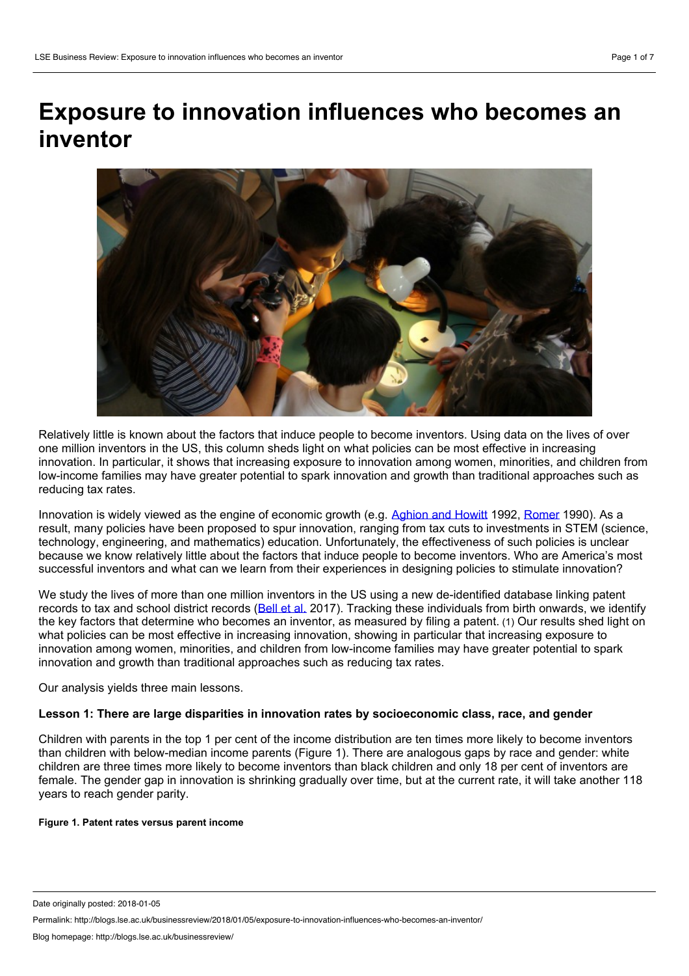# **Exposure to innovation influences who becomes an inventor**



Relatively little is known about the factors that induce people to become inventors. Using data on the lives of over one million inventors in the US, this column sheds light on what policies can be most effective in increasing innovation. In particular, it shows that increasing exposure to innovation among women, minorities, and children from low-income families may have greater potential to spark innovation and growth than traditional approaches such as reducing tax rates.

Innovation is widely viewed as the engine of economic growth (e.g. [Aghion](https://www.jstor.org/stable/2951599) and Howitt 1992, [Romer](https://econpapers.repec.org/article/ucpjpolec/v_3a98_3ay_3a1990_3ai_3a5_3ap_3as71-102.htm) 1990). As a result, many policies have been proposed to spur innovation, ranging from tax cuts to investments in STEM (science, technology, engineering, and mathematics) education. Unfortunately, the effectiveness of such policies is unclear because we know relatively little about the factors that induce people to become inventors. Who are America's most successful inventors and what can we learn from their experiences in designing policies to stimulate innovation?

We study the lives of more than one million inventors in the US using a new de-identified database linking patent records to tax and school district records ([Bell](http://www.equality-of-opportunity.org/assets/documents/inventors_paper.pdf) et al. 2017). Tracking these individuals from birth onwards, we identify the key factors that determine who becomes an inventor, as measured by filing a patent. (1) Our results shed light on what policies can be most effective in increasing innovation, showing in particular that increasing exposure to innovation among women, minorities, and children from low-income families may have greater potential to spark innovation and growth than traditional approaches such as reducing tax rates.

Our analysis yields three main lessons.

## **Lesson 1: There are large disparities in innovation rates by socioeconomic class, race, and gender**

Children with parents in the top 1 per cent of the income distribution are ten times more likely to become inventors than children with below-median income parents (Figure 1). There are analogous gaps by race and gender: white children are three times more likely to become inventors than black children and only 18 per cent of inventors are female. The gender gap in innovation is shrinking gradually over time, but at the current rate, it will take another 118 years to reach gender parity.

#### **Figure 1. Patent rates versus parent income**

Date originally posted: 2018-01-05

Permalink: http://blogs.lse.ac.uk/businessreview/2018/01/05/exposure-to-innovation-influences-who-becomes-an-inventor/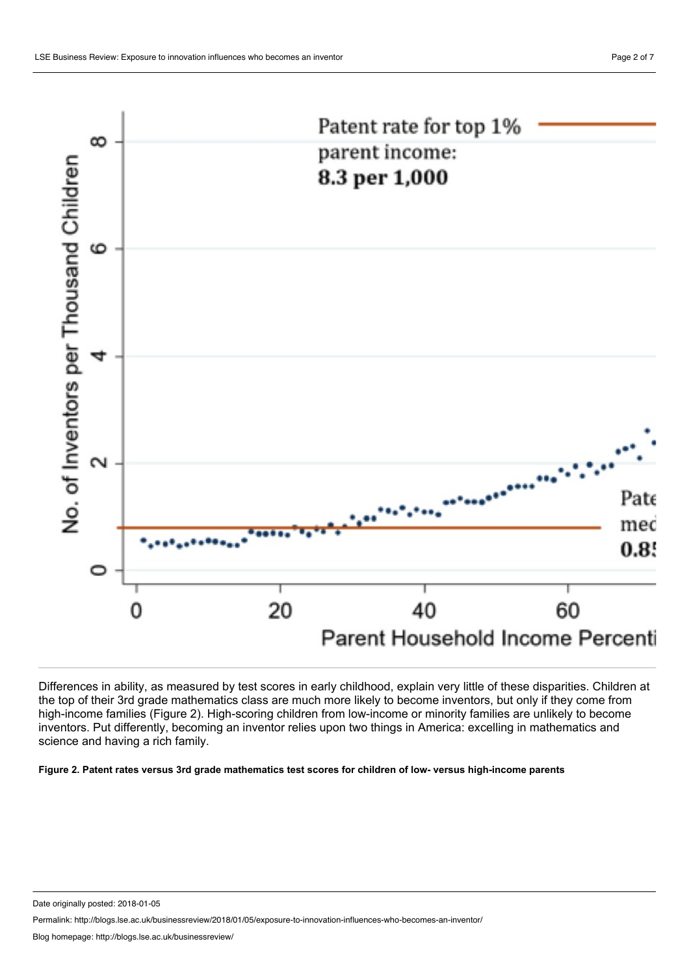



Differences in ability, as measured by test scores in early childhood, explain very little of these disparities. Children at the top of their 3rd grade mathematics class are much more likely to become inventors, but only if they come from high-income families (Figure 2). High-scoring children from low-income or minority families are unlikely to become inventors. Put differently, becoming an inventor relies upon two things in America: excelling in mathematics and science and having a rich family.

Figure 2. Patent rates versus 3rd grade mathematics test scores for children of low-versus high-income parents

Date originally posted: 2018-01-05

Permalink: http://blogs.lse.ac.uk/businessreview/2018/01/05/exposure-to-innovation-influences-who-becomes-an-inventor/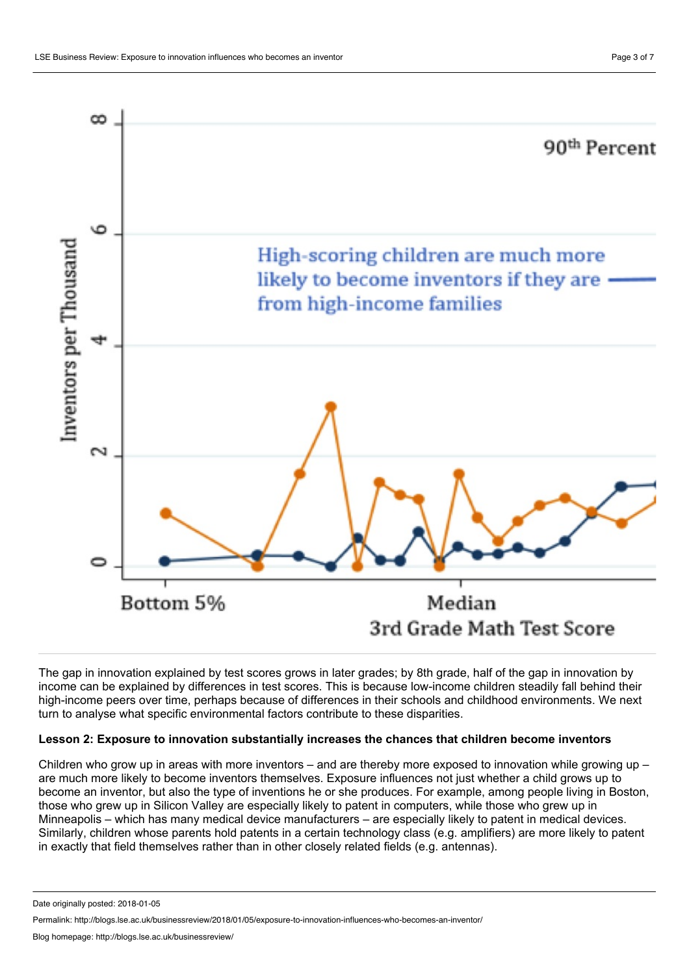

The gap in innovation explained by test scores grows in later grades; by 8th grade, half of the gap in innovation by income can be explained by differences in test scores. This is because low-income children steadily fall behind their high-income peers over time, perhaps because of differences in their schools and childhood environments. We next turn to analyse what specific environmental factors contribute to these disparities.

## **Lesson 2: Exposure to innovation substantially increases the chances that children become inventors**

Children who grow up in areas with more inventors – and are thereby more exposed to innovation while growing up – are much more likely to become inventors themselves. Exposure influences not just whether a child grows up to become an inventor, but also the type of inventions he or she produces. For example, among people living in Boston, those who grew up in Silicon Valley are especially likely to patent in computers, while those who grew up in Minneapolis – which has many medical device manufacturers – are especially likely to patent in medical devices. Similarly, children whose parents hold patents in a certain technology class (e.g. amplifiers) are more likely to patent in exactly that field themselves rather than in other closely related fields (e.g. antennas).

Date originally posted: 2018-01-05

Permalink: http://blogs.lse.ac.uk/businessreview/2018/01/05/exposure-to-innovation-influences-who-becomes-an-inventor/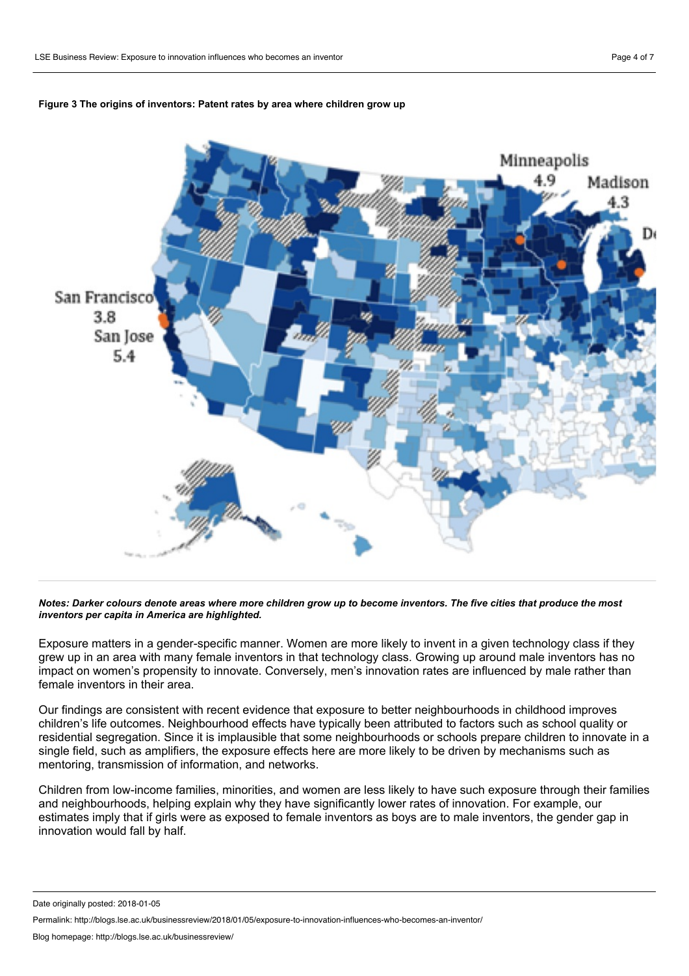

#### **Figure 3 The origins of inventors: Patent rates by area where children grow up**

Notes: Darker colours denote areas where more children grow up to become inventors. The five cities that produce the most *inventors per capita in America are highlighted.*

Exposure matters in a gender-specific manner. Women are more likely to invent in a given technology class if they grew up in an area with many female inventors in that technology class. Growing up around male inventors has no impact on women's propensity to innovate. Conversely, men's innovation rates are influenced by male rather than female inventors in their area.

Our findings are consistent with recent evidence that exposure to better neighbourhoods in childhood improves children's life outcomes. Neighbourhood effects have typically been attributed to factors such as school quality or residential segregation. Since it is implausible that some neighbourhoods or schools prepare children to innovate in a single field, such as amplifiers, the exposure effects here are more likely to be driven by mechanisms such as mentoring, transmission of information, and networks.

Children from low-income families, minorities, and women are less likely to have such exposure through their families and neighbourhoods, helping explain why they have significantly lower rates of innovation. For example, our estimates imply that if girls were as exposed to female inventors as boys are to male inventors, the gender gap in innovation would fall by half.

Date originally posted: 2018-01-05

Permalink: http://blogs.lse.ac.uk/businessreview/2018/01/05/exposure-to-innovation-influences-who-becomes-an-inventor/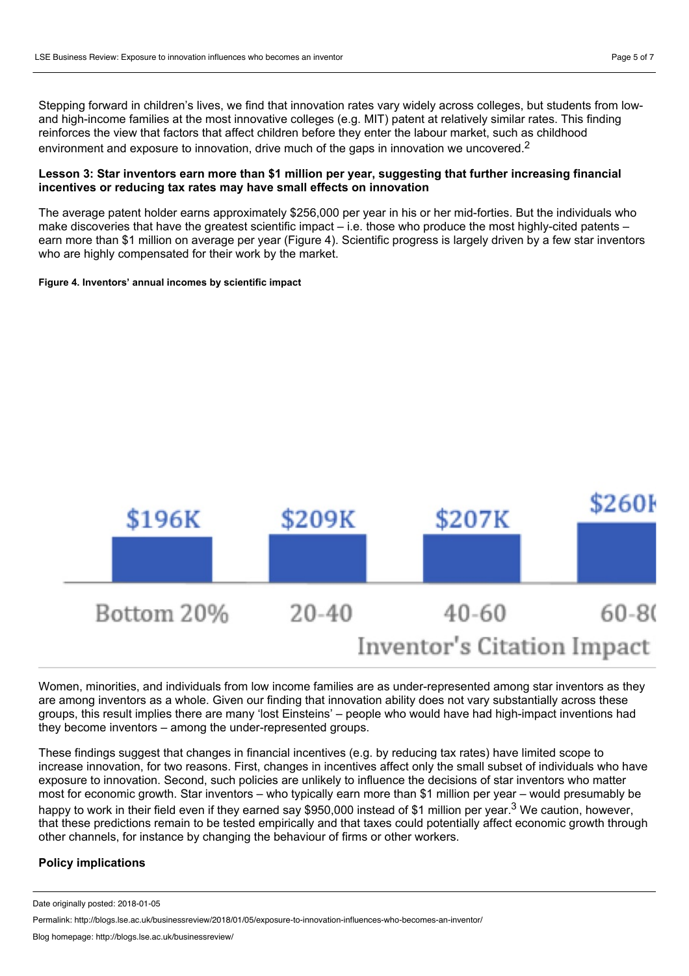Stepping forward in children's lives, we find that innovation rates vary widely across colleges, but students from low and high-income families at the most innovative colleges (e.g. MIT) patent at relatively similar rates. This finding reinforces the view that factors that affect children before they enter the labour market, such as childhood environment and exposure to innovation, drive much of the gaps in innovation we uncovered.<sup>2</sup>

## **Lesson 3: Star inventors earn more than \$1 million per year, suggesting thatfurther increasing financial incentives or reducing tax rates may have small effects on innovation**

The average patent holder earns approximately \$256,000 per year in his or her mid-forties. But the individuals who make discoveries that have the greatest scientific impact – i.e. those who produce the most highly-cited patents – earn more than \$1 million on average per year (Figure 4). Scientific progress is largely driven by a few star inventors who are highly compensated for their work by the market.

#### **Figure 4. Inventors' annual incomes by scientific impact**



Women, minorities, and individuals from low income families are as under-represented among star inventors as they are among inventors as a whole. Given our finding that innovation ability does not vary substantially across these groups, this result implies there are many 'lost Einsteins' – people who would have had high-impact inventions had they become inventors – among the under-represented groups.

These findings suggest that changes in financial incentives (e.g. by reducing tax rates) have limited scope to increase innovation, for two reasons. First, changes in incentives affect only the small subset of individuals who have exposure to innovation. Second, such policies are unlikely to influence the decisions of star inventors who matter most for economic growth. Star inventors – who typically earn more than \$1 million per year – would presumably be happy to work in their field even if they earned say \$950,000 instead of \$1 million per year.<sup>3</sup> We caution, however, that these predictions remain to be tested empirically and that taxes could potentially affect economic growth through other channels, for instance by changing the behaviour of firms or other workers.

## **Policy implications**

Date originally posted: 2018-01-05

Permalink: http://blogs.lse.ac.uk/businessreview/2018/01/05/exposure-to-innovation-influences-who-becomes-an-inventor/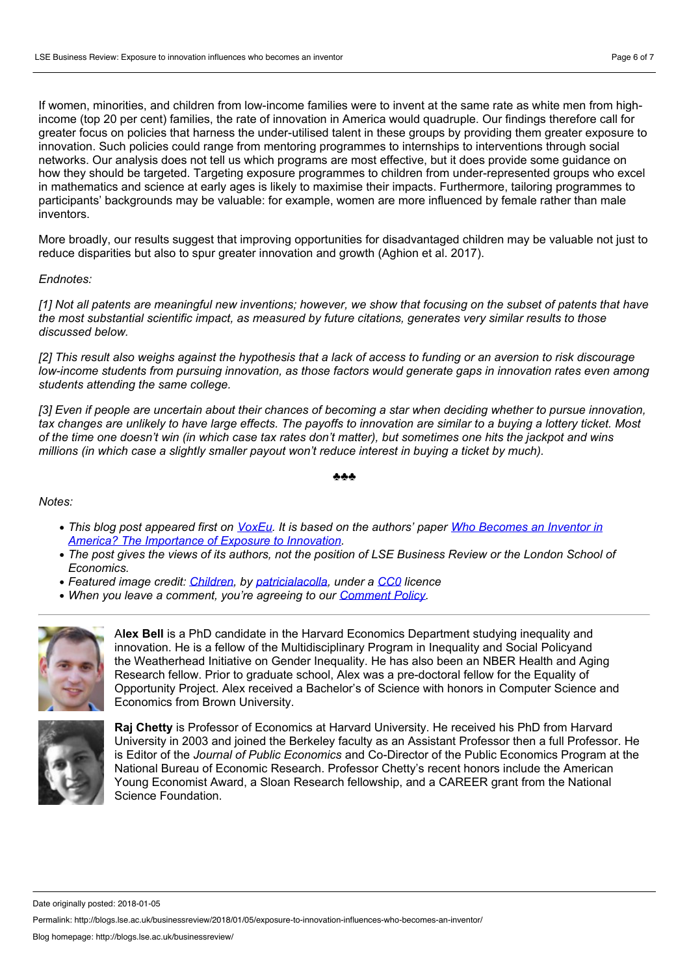If women, minorities, and children from low-income families were to invent at the same rate as white men from highincome (top 20 per cent) families, the rate of innovation in America would quadruple. Our findings therefore call for greater focus on policies that harness the under-utilised talent in these groups by providing them greater exposure to innovation. Such policies could range from mentoring programmes to internships to interventions through social networks. Our analysis does not tell us which programs are most effective, but it does provide some guidance on how they should be targeted. Targeting exposure programmes to children from under-represented groups who excel in mathematics and science at early ages is likely to maximise their impacts. Furthermore, tailoring programmes to participants' backgrounds may be valuable: for example, women are more influenced by female rather than male inventors.

More broadly, our results suggest that improving opportunities for disadvantaged children may be valuable not just to reduce disparities but also to spur greater innovation and growth (Aghion et al. 2017).

#### *Endnotes:*

[1] Not all patents are meaningful new inventions; however, we show that focusing on the subset of patents that have *the most substantial scientific impact, as measured by future citations, generates very similar results to those discussed below.*

[2] This result also weighs against the hypothesis that a lack of access to funding or an aversion to risk discourage low-income students from pursuing innovation, as those factors would generate gaps in innovation rates even among *students attending the same college.*

[3] Even if people are uncertain about their chances of becoming a star when deciding whether to pursue innovation. tax changes are unlikely to have large effects. The payoffs to innovation are similar to a buying a lottery ticket. Most of the time one doesn't win (in which case tax rates don't matter), but sometimes one hits the jackpot and wins *millions (in which case a slightly smaller payout won't reduce interest in buying a ticket by much).*

#### ♣♣♣

### *Notes:*

- This blog post appeared first on [VoxEu.](http://voxeu.org/article/how-exposure-innovation-influences-who-becomes-inventor) It is based on the authors' paper Who Becomes an Inventor in *America? The [Importance](http://www.equality-of-opportunity.org/assets/documents/inventors_paper.pdf) of Exposure to Innovation.*
- The post gives the views of its authors, not the position of LSE Business Review or the London School of *Economics.*
- *Featured image credit: [Children,](https://pixabay.com/en/children-they-investigate-microscope-183007/) by [patricialacolla,](https://pixabay.com/en/users/patricialacolla-53854/) under a [CC0](https://pixabay.com/en/service/terms/#usage) licence*
- *When you leave a comment, you're agreeing to our [Comment](http://blogs.lse.ac.uk/businessreview/comment-policy/) Policy.*



A**lex Bell** is a PhD candidate in the Harvard Economics Department studying inequality and innovation. He is a fellow of the Multidisciplinary Program in Inequality and Social Policyand the Weatherhead Initiative on Gender Inequality. He has also been an NBER Health and Aging Research fellow. Prior to graduate school, Alex was a pre-doctoral fellow for the Equality of Opportunity Project. Alex received a Bachelor's of Science with honors in Computer Science and Economics from Brown University.



**Raj Chetty** is Professor of Economics at Harvard University. He received his PhD from Harvard University in 2003 and joined the Berkeley faculty as an Assistant Professor then a full Professor. He is Editor of the *Journal of Public Economics* and Co-Director of the Public Economics Program at the National Bureau of Economic Research. Professor Chetty's recent honors include the American Young Economist Award, a Sloan Research fellowship, and a CAREER grant from the National Science Foundation.

Date originally posted: 2018-01-05

Permalink: http://blogs.lse.ac.uk/businessreview/2018/01/05/exposure-to-innovation-influences-who-becomes-an-inventor/